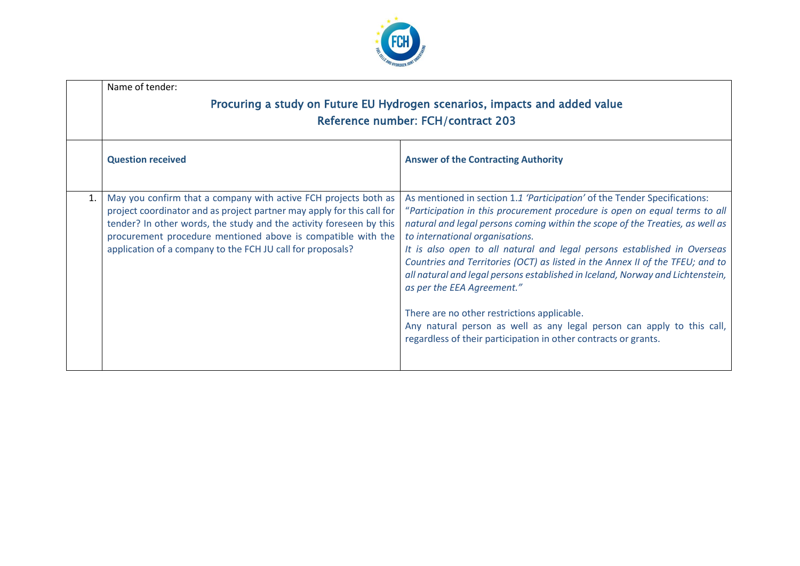

|    | Name of tender:                                                                                                                                                                                                                                                                                                                                |                                                                                                                                                                                                                                                                                                                                                                                                                                                                                                                                                                                                                                                                                                                                                      |  |
|----|------------------------------------------------------------------------------------------------------------------------------------------------------------------------------------------------------------------------------------------------------------------------------------------------------------------------------------------------|------------------------------------------------------------------------------------------------------------------------------------------------------------------------------------------------------------------------------------------------------------------------------------------------------------------------------------------------------------------------------------------------------------------------------------------------------------------------------------------------------------------------------------------------------------------------------------------------------------------------------------------------------------------------------------------------------------------------------------------------------|--|
|    | Procuring a study on Future EU Hydrogen scenarios, impacts and added value<br>Reference number: FCH/contract 203                                                                                                                                                                                                                               |                                                                                                                                                                                                                                                                                                                                                                                                                                                                                                                                                                                                                                                                                                                                                      |  |
|    | <b>Question received</b>                                                                                                                                                                                                                                                                                                                       | <b>Answer of the Contracting Authority</b>                                                                                                                                                                                                                                                                                                                                                                                                                                                                                                                                                                                                                                                                                                           |  |
| 1. | May you confirm that a company with active FCH projects both as<br>project coordinator and as project partner may apply for this call for<br>tender? In other words, the study and the activity foreseen by this<br>procurement procedure mentioned above is compatible with the<br>application of a company to the FCH JU call for proposals? | As mentioned in section 1.1 'Participation' of the Tender Specifications:<br>"Participation in this procurement procedure is open on equal terms to all<br>natural and legal persons coming within the scope of the Treaties, as well as<br>to international organisations.<br>It is also open to all natural and legal persons established in Overseas<br>Countries and Territories (OCT) as listed in the Annex II of the TFEU; and to<br>all natural and legal persons established in Iceland, Norway and Lichtenstein,<br>as per the EEA Agreement."<br>There are no other restrictions applicable.<br>Any natural person as well as any legal person can apply to this call,<br>regardless of their participation in other contracts or grants. |  |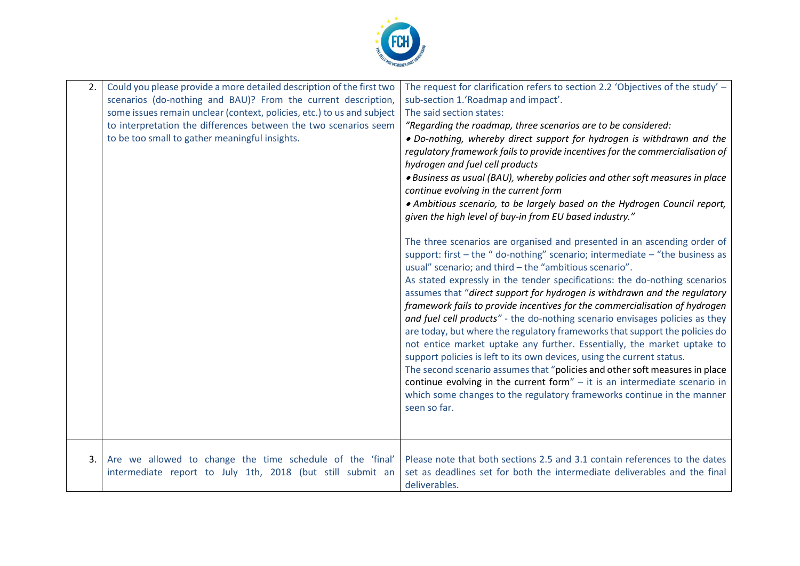

| 2. | Could you please provide a more detailed description of the first two<br>scenarios (do-nothing and BAU)? From the current description,<br>some issues remain unclear (context, policies, etc.) to us and subject<br>to interpretation the differences between the two scenarios seem<br>to be too small to gather meaningful insights. | The request for clarification refers to section 2.2 'Objectives of the study' $-$<br>sub-section 1.'Roadmap and impact'.<br>The said section states:<br>"Regarding the roadmap, three scenarios are to be considered:<br>. Do-nothing, whereby direct support for hydrogen is withdrawn and the<br>regulatory framework fails to provide incentives for the commercialisation of<br>hydrogen and fuel cell products<br>. Business as usual (BAU), whereby policies and other soft measures in place<br>continue evolving in the current form<br>• Ambitious scenario, to be largely based on the Hydrogen Council report,<br>given the high level of buy-in from EU based industry."<br>The three scenarios are organised and presented in an ascending order of<br>support: first - the $"$ do-nothing" scenario; intermediate - "the business as<br>usual" scenario; and third - the "ambitious scenario".<br>As stated expressly in the tender specifications: the do-nothing scenarios<br>assumes that "direct support for hydrogen is withdrawn and the regulatory<br>framework fails to provide incentives for the commercialisation of hydrogen<br>and fuel cell products" - the do-nothing scenario envisages policies as they<br>are today, but where the regulatory frameworks that support the policies do<br>not entice market uptake any further. Essentially, the market uptake to<br>support policies is left to its own devices, using the current status.<br>The second scenario assumes that "policies and other soft measures in place<br>continue evolving in the current form" $-$ it is an intermediate scenario in<br>which some changes to the regulatory frameworks continue in the manner<br>seen so far. |
|----|----------------------------------------------------------------------------------------------------------------------------------------------------------------------------------------------------------------------------------------------------------------------------------------------------------------------------------------|-------------------------------------------------------------------------------------------------------------------------------------------------------------------------------------------------------------------------------------------------------------------------------------------------------------------------------------------------------------------------------------------------------------------------------------------------------------------------------------------------------------------------------------------------------------------------------------------------------------------------------------------------------------------------------------------------------------------------------------------------------------------------------------------------------------------------------------------------------------------------------------------------------------------------------------------------------------------------------------------------------------------------------------------------------------------------------------------------------------------------------------------------------------------------------------------------------------------------------------------------------------------------------------------------------------------------------------------------------------------------------------------------------------------------------------------------------------------------------------------------------------------------------------------------------------------------------------------------------------------------------------------------------------------------------------------------------------------------------------|
| 3. | Are we allowed to change the time schedule of the 'final'<br>intermediate report to July 1th, 2018 (but still submit an                                                                                                                                                                                                                | Please note that both sections 2.5 and 3.1 contain references to the dates<br>set as deadlines set for both the intermediate deliverables and the final<br>deliverables.                                                                                                                                                                                                                                                                                                                                                                                                                                                                                                                                                                                                                                                                                                                                                                                                                                                                                                                                                                                                                                                                                                                                                                                                                                                                                                                                                                                                                                                                                                                                                            |